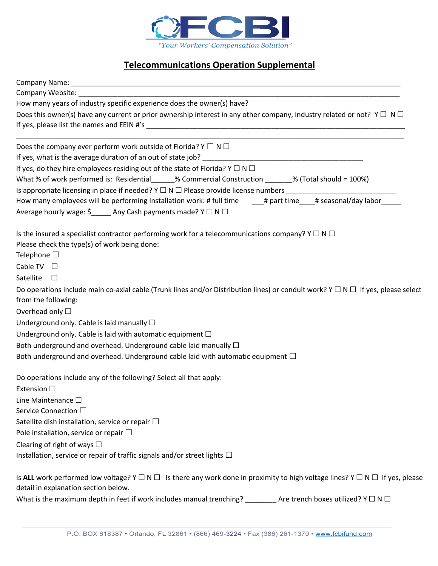

## **Telecommunications Operation Supplemental**

| How many years of industry specific experience does the owner(s) have?                                                                                                                     |
|--------------------------------------------------------------------------------------------------------------------------------------------------------------------------------------------|
| Does this owner(s) have any current or prior ownership interest in any other company, industry related or not? $Y \Box N \Box$                                                             |
|                                                                                                                                                                                            |
| Does the company ever perform work outside of Florida? $Y \square N \square$                                                                                                               |
|                                                                                                                                                                                            |
| If yes, do they hire employees residing out of the state of Florida? $Y \square N \square$                                                                                                 |
| What % of work performed is: Residential______% Commercial Construction _______% (Total should = 100%)                                                                                     |
|                                                                                                                                                                                            |
| How many employees will be performing Installation work: # full time ___# part time___# seasonal/day labor____                                                                             |
| Average hourly wage: \$ _____ Any Cash payments made? Y □ N □                                                                                                                              |
| Is the insured a specialist contractor performing work for a telecommunications company? $Y \square N \square$<br>Please check the type(s) of work being done:<br>Telephone $\square$      |
| Cable TV $\Box$                                                                                                                                                                            |
| Satellite $\square$                                                                                                                                                                        |
| Do operations include main co-axial cable (Trunk lines and/or Distribution lines) or conduit work? $Y \Box N \Box$ If yes, please select<br>from the following:<br>Overhead only $\square$ |
| Underground only. Cable is laid manually $\Box$                                                                                                                                            |
| Underground only. Cable is laid with automatic equipment $\Box$                                                                                                                            |
| Both underground and overhead. Underground cable laid manually $\Box$                                                                                                                      |
| Both underground and overhead. Underground cable laid with automatic equipment $\Box$                                                                                                      |
| Do operations include any of the following? Select all that apply:<br>Extension $\square$                                                                                                  |
| Line Maintenance $\square$                                                                                                                                                                 |
| Service Connection □                                                                                                                                                                       |
| Satellite dish installation, service or repair $\Box$                                                                                                                                      |
| Pole installation, service or repair $\Box$                                                                                                                                                |
| Clearing of right of ways $\Box$                                                                                                                                                           |
| Installation, service or repair of traffic signals and/or street lights $\Box$                                                                                                             |
| Is ALL work performed low voltage? $Y \Box N \Box$ Is there any work done in proximity to high voltage lines? $Y \Box N \Box$ If yes, please                                               |

detail in explanation section below.

What is the maximum depth in feet if work includes manual trenching? \_\_\_\_\_\_\_\_\_ Are trench boxes utilized? Y  $\Box$  N  $\Box$